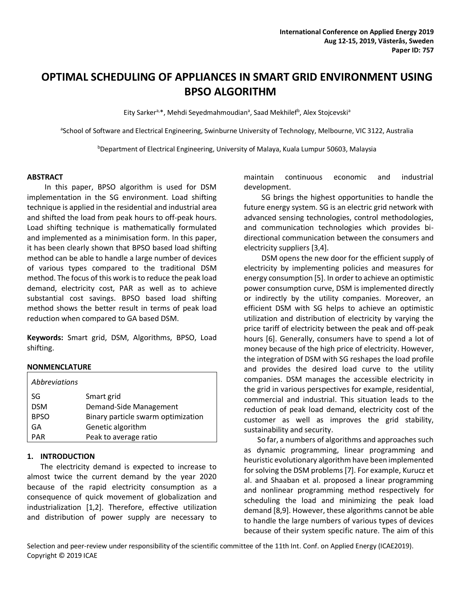# **OPTIMAL SCHEDULING OF APPLIANCES IN SMART GRID ENVIRONMENT USING BPSO ALGORITHM**

Eity Sarker<sup>a,\*</sup>, Mehdi Seyedmahmoudian<sup>a</sup>, Saad Mekhilef<sup>b</sup>, Alex Stojcevski<sup>a</sup>

aSchool of Software and Electrical Engineering, Swinburne University of Technology, Melbourne, VIC 3122, Australia

**bDepartment of Electrical Engineering, University of Malaya, Kuala Lumpur 50603, Malaysia** 

#### **ABSTRACT**

In this paper, BPSO algorithm is used for DSM implementation in the SG environment. Load shifting technique is applied in the residential and industrial area and shifted the load from peak hours to off-peak hours. Load shifting technique is mathematically formulated and implemented as a minimisation form. In this paper, it has been clearly shown that BPSO based load shifting method can be able to handle a large number of devices of various types compared to the traditional DSM method. The focus of this work is to reduce the peak load demand, electricity cost, PAR as well as to achieve substantial cost savings. BPSO based load shifting method shows the better result in terms of peak load reduction when compared to GA based DSM.

**Keywords:** Smart grid, DSM, Algorithms, BPSO, Load shifting.

#### **NONMENCLATURE**

| Abbreviations |                                    |
|---------------|------------------------------------|
| SG            | Smart grid                         |
| <b>DSM</b>    | Demand-Side Management             |
| <b>BPSO</b>   | Binary particle swarm optimization |
| GΑ            | Genetic algorithm                  |
| <b>PAR</b>    | Peak to average ratio              |

#### **1. INTRODUCTION**

The electricity demand is expected to increase to almost twice the current demand by the year 2020 because of the rapid electricity consumption as a consequence of quick movement of globalization and industrialization [1,2]. Therefore, effective utilization and distribution of power supply are necessary to maintain continuous economic and industrial development.

SG brings the highest opportunities to handle the future energy system. SG is an electric grid network with advanced sensing technologies, control methodologies, and communication technologies which provides bidirectional communication between the consumers and electricity suppliers [3,4].

DSM opens the new door for the efficient supply of electricity by implementing policies and measures for energy consumption [5]. In order to achieve an optimistic power consumption curve, DSM is implemented directly or indirectly by the utility companies. Moreover, an efficient DSM with SG helps to achieve an optimistic utilization and distribution of electricity by varying the price tariff of electricity between the peak and off-peak hours [6]. Generally, consumers have to spend a lot of money because of the high price of electricity. However, the integration of DSM with SG reshapes the load profile and provides the desired load curve to the utility companies. DSM manages the accessible electricity in the grid in various perspectives for example, residential, commercial and industrial. This situation leads to the reduction of peak load demand, electricity cost of the customer as well as improves the grid stability, sustainability and security.

So far, a numbers of algorithms and approaches such as dynamic programming, linear programming and heuristic evolutionary algorithm have been implemented for solving the DSM problems [7]. For example, Kurucz et al. and Shaaban et al. proposed a linear programming and nonlinear programming method respectively for scheduling the load and minimizing the peak load demand [8,9]. However, these algorithms cannot be able to handle the large numbers of various types of devices because of their system specific nature. The aim of this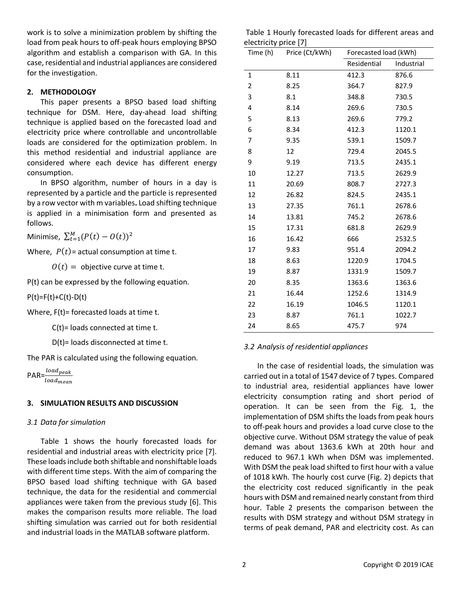work is to solve a minimization problem by shifting the load from peak hours to off-peak hours employing BPSO algorithm and establish a comparison with GA. In this case, residential and industrial appliances are considered for the investigation.

## **2. METHODOLOGY**

This paper presents a BPSO based load shifting technique for DSM. Here, day-ahead load shifting technique is applied based on the forecasted load and electricity price where controllable and uncontrollable loads are considered for the optimization problem. In this method residential and industrial appliance are considered where each device has different energy consumption.

In BPSO algorithm, number of hours in a day is represented by a particle and the particle is represented by a row vector with m variables**.** Load shifting technique is applied in a minimisation form and presented as follows.

Minimise,  $\sum_{t=1}^{M} (P(t) - O(t))^2$ 

Where,  $P(t)$ = actual consumption at time t.

 $Q(t) =$  objective curve at time t.

P(t) can be expressed by the following equation.

 $P(t)=F(t)+C(t)-D(t)$ 

Where, F(t)= forecasted loads at time t.

C(t)= loads connected at time t.

D(t)= loads disconnected at time t.

The PAR is calculated using the following equation.

 $PAR = \frac{load_{peak}}{load}$ load<sub>mean</sub>

# **3. SIMULATION RESULTS AND DISCUSSION**

## *3.1 Data for simulation*

Table 1 shows the hourly forecasted loads for residential and industrial areas with electricity price [7]. These loads include both shiftable and nonshiftable loads with different time steps. With the aim of comparing the BPSO based load shifting technique with GA based technique, the data for the residential and commercial appliances were taken from the previous study [6]. This makes the comparison results more reliable. The load shifting simulation was carried out for both residential and industrial loads in the MATLAB software platform.

Table 1 Hourly forecasted loads for different areas and electricity price [7]

| Time (h) | $\frac{1}{2}$<br>Price (Ct/kWh) |             | Forecasted load (kWh) |  |
|----------|---------------------------------|-------------|-----------------------|--|
|          |                                 | Residential | Industrial            |  |
| 1        | 8.11                            | 412.3       | 876.6                 |  |
| 2        | 8.25                            | 364.7       | 827.9                 |  |
| 3        | 8.1                             | 348.8       | 730.5                 |  |
| 4        | 8.14                            | 269.6       | 730.5                 |  |
| 5        | 8.13                            | 269.6       | 779.2                 |  |
| 6        | 8.34                            | 412.3       | 1120.1                |  |
| 7        | 9.35                            | 539.1       | 1509.7                |  |
| 8        | 12                              | 729.4       | 2045.5                |  |
| 9        | 9.19                            | 713.5       | 2435.1                |  |
| 10       | 12.27                           | 713.5       | 2629.9                |  |
| 11       | 20.69                           | 808.7       | 2727.3                |  |
| 12       | 26.82                           | 824.5       | 2435.1                |  |
| 13       | 27.35                           | 761.1       | 2678.6                |  |
| 14       | 13.81                           | 745.2       | 2678.6                |  |
| 15       | 17.31                           | 681.8       | 2629.9                |  |
| 16       | 16.42                           | 666         | 2532.5                |  |
| 17       | 9.83                            | 951.4       | 2094.2                |  |
| 18       | 8.63                            | 1220.9      | 1704.5                |  |
| 19       | 8.87                            | 1331.9      | 1509.7                |  |
| 20       | 8.35                            | 1363.6      | 1363.6                |  |
| 21       | 16.44                           | 1252.6      | 1314.9                |  |
| 22       | 16.19                           | 1046.5      | 1120.1                |  |
| 23       | 8.87                            | 761.1       | 1022.7                |  |
| 24       | 8.65                            | 475.7       | 974                   |  |

## *3.2 Analysis of residential appliances*

In the case of residential loads, the simulation was carried out in a total of 1547 device of 7 types. Compared to industrial area, residential appliances have lower electricity consumption rating and short period of operation. It can be seen from the Fig. 1, the implementation of DSM shifts the loads from peak hours to off-peak hours and provides a load curve close to the objective curve. Without DSM strategy the value of peak demand was about 1363.6 kWh at 20th hour and reduced to 967.1 kWh when DSM was implemented. With DSM the peak load shifted to first hour with a value of 1018 kWh. The hourly cost curve (Fig. 2) depicts that the electricity cost reduced significantly in the peak hours with DSM and remained nearly constant from third hour. Table 2 presents the comparison between the results with DSM strategy and without DSM strategy in terms of peak demand, PAR and electricity cost. As can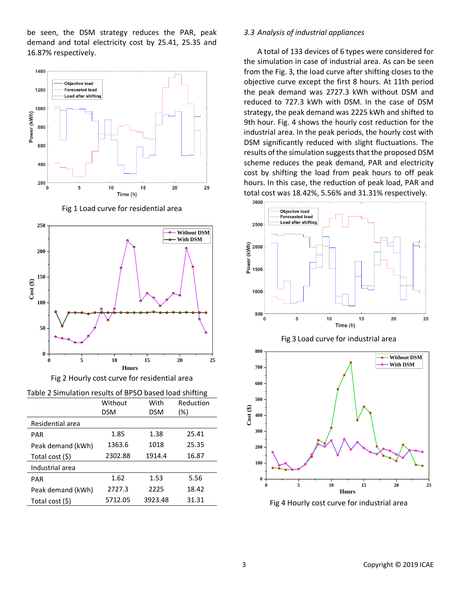be seen, the DSM strategy reduces the PAR, peak demand and total electricity cost by 25.41, 25.35 and 16.87% respectively.



Fig 1 Load curve for residential area





| Table 2 Simulation results of BPSO based load shifting |  |  |
|--------------------------------------------------------|--|--|
|                                                        |  |  |

|                   | Without | With    | Reduction |
|-------------------|---------|---------|-----------|
|                   | DSM     | DSM     | (%)       |
| Residential area  |         |         |           |
| PAR               | 1.85    | 1.38    | 25.41     |
| Peak demand (kWh) | 1363.6  | 1018    | 25.35     |
| Total cost (\$)   | 2302.88 | 1914.4  | 16.87     |
| Industrial area   |         |         |           |
| PAR               | 1.62    | 1.53    | 5.56      |
| Peak demand (kWh) | 2727.3  | 2225    | 18.42     |
| Total cost (\$)   | 5712.05 | 3923.48 | 31.31     |

## *3.3 Analysis of industrial appliances*

A total of 133 devices of 6 types were considered for the simulation in case of industrial area. As can be seen from the Fig. 3, the load curve after shifting closes to the objective curve except the first 8 hours. At 11th period the peak demand was 2727.3 kWh without DSM and reduced to 727.3 kWh with DSM. In the case of DSM strategy, the peak demand was 2225 kWh and shifted to 9th hour. Fig. 4 shows the hourly cost reduction for the industrial area. In the peak periods, the hourly cost with DSM significantly reduced with slight fluctuations. The results of the simulation suggests that the proposed DSM scheme reduces the peak demand, PAR and electricity cost by shifting the load from peak hours to off peak hours. In this case, the reduction of peak load, PAR and total cost was 18.42%, 5.56% and 31.31% respectively.







Fig 4 Hourly cost curve for industrial area